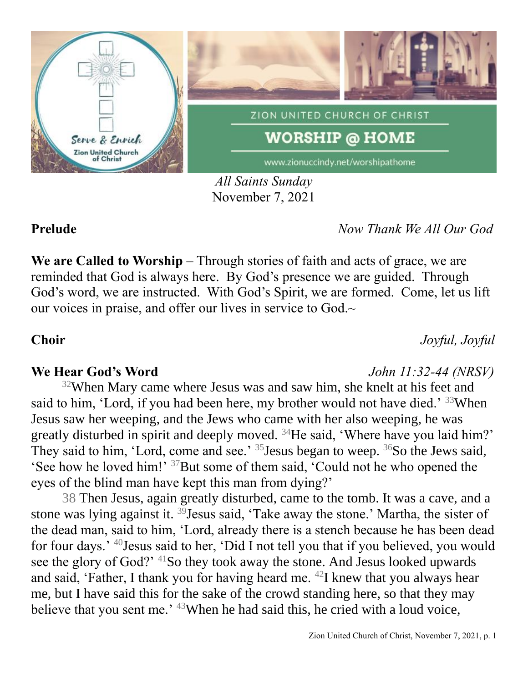

*All Saints Sunday* November 7, 2021

**Prelude** *Now Thank We All Our God*

**We are Called to Worship** – Through stories of faith and acts of grace, we are reminded that God is always here. By God's presence we are guided. Through God's word, we are instructed. With God's Spirit, we are formed. Come, let us lift our voices in praise, and offer our lives in service to God.~

**Choir** *Joyful, Joyful*

## **We Hear God's Word** *John 11:32-44 (NRSV)*

 $32$ When Mary came where Jesus was and saw him, she knelt at his feet and said to him, 'Lord, if you had been here, my brother would not have died.' <sup>33</sup>When Jesus saw her weeping, and the Jews who came with her also weeping, he was greatly disturbed in spirit and deeply moved. <sup>34</sup>He said, 'Where have you laid him?' They said to him, 'Lord, come and see.'  $35$  Jesus began to weep.  $36$ So the Jews said, 'See how he loved him!' <sup>37</sup>But some of them said, 'Could not he who opened the eyes of the blind man have kept this man from dying?'

38 Then Jesus, again greatly disturbed, came to the tomb. It was a cave, and a stone was lying against it. <sup>39</sup> Jesus said, 'Take away the stone.' Martha, the sister of the dead man, said to him, 'Lord, already there is a stench because he has been dead for four days.' <sup>40</sup>Jesus said to her, 'Did I not tell you that if you believed, you would see the glory of God?' <sup>41</sup>So they took away the stone. And Jesus looked upwards and said, 'Father, I thank you for having heard me.  $42I$  knew that you always hear me, but I have said this for the sake of the crowd standing here, so that they may believe that you sent me.' <sup>43</sup>When he had said this, he cried with a loud voice,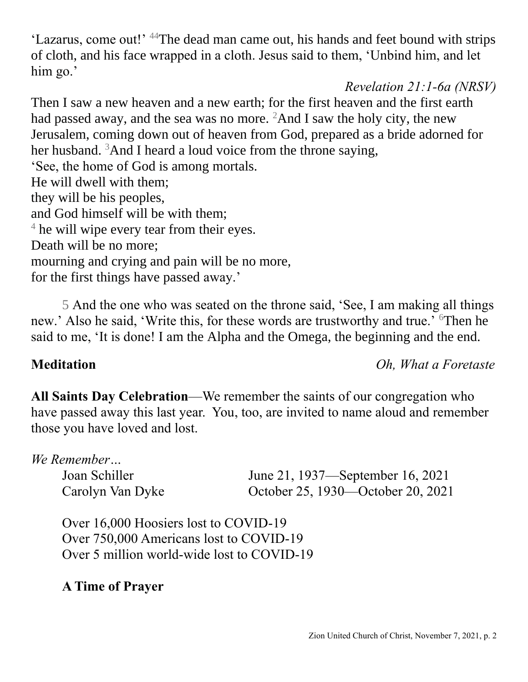'Lazarus, come out!' <sup>44</sup>The dead man came out, his hands and feet bound with strips of cloth, and his face wrapped in a cloth. Jesus said to them, 'Unbind him, and let him go.'

# *Revelation 21:1-6a (NRSV)*

Then I saw a new heaven and a new earth; for the first heaven and the first earth had passed away, and the sea was no more.  ${}^{2}$ And I saw the holy city, the new Jerusalem, coming down out of heaven from God, prepared as a bride adorned for her husband.  $3$ And I heard a loud voice from the throne saying, 'See, the home of God is among mortals. He will dwell with them; they will be his peoples, and God himself will be with them; <sup>4</sup> he will wipe every tear from their eyes. Death will be no more; mourning and crying and pain will be no more, for the first things have passed away.'

5 And the one who was seated on the throne said, 'See, I am making all things new.' Also he said, 'Write this, for these words are trustworthy and true.' <sup>6</sup>Then he said to me, 'It is done! I am the Alpha and the Omega, the beginning and the end.

## **Meditation** *Oh, What a Foretaste*

**All Saints Day Celebration**—We remember the saints of our congregation who have passed away this last year. You, too, are invited to name aloud and remember those you have loved and lost.

## *We Remember…*

Joan Schiller June 21, 1937—September 16, 2021 Carolyn Van Dyke October 25, 1930—October 20, 2021

Over 16,000 Hoosiers lost to COVID-19 Over 750,000 Americans lost to COVID-19 Over 5 million world-wide lost to COVID-19

# **A Time of Prayer**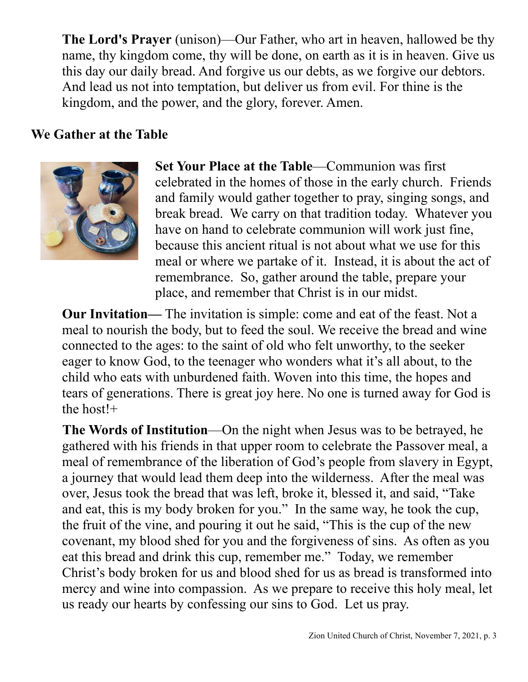**The Lord's Prayer** (unison)—Our Father, who art in heaven, hallowed be thy name, thy kingdom come, thy will be done, on earth as it is in heaven. Give us this day our daily bread. And forgive us our debts, as we forgive our debtors. And lead us not into temptation, but deliver us from evil. For thine is the kingdom, and the power, and the glory, forever. Amen.

## **We Gather at the Table**



**Set Your Place at the Table**—Communion was first celebrated in the homes of those in the early church. Friends and family would gather together to pray, singing songs, and break bread. We carry on that tradition today. Whatever you have on hand to celebrate communion will work just fine, because this ancient ritual is not about what we use for this meal or where we partake of it. Instead, it is about the act of remembrance. So, gather around the table, prepare your place, and remember that Christ is in our midst.

**Our Invitation—** The invitation is simple: come and eat of the feast. Not a meal to nourish the body, but to feed the soul. We receive the bread and wine connected to the ages: to the saint of old who felt unworthy, to the seeker eager to know God, to the teenager who wonders what it's all about, to the child who eats with unburdened faith. Woven into this time, the hopes and tears of generations. There is great joy here. No one is turned away for God is the host!+

**The Words of Institution**—On the night when Jesus was to be betrayed, he gathered with his friends in that upper room to celebrate the Passover meal, a meal of remembrance of the liberation of God's people from slavery in Egypt, a journey that would lead them deep into the wilderness. After the meal was over, Jesus took the bread that was left, broke it, blessed it, and said, "Take and eat, this is my body broken for you." In the same way, he took the cup, the fruit of the vine, and pouring it out he said, "This is the cup of the new covenant, my blood shed for you and the forgiveness of sins. As often as you eat this bread and drink this cup, remember me." Today, we remember Christ's body broken for us and blood shed for us as bread is transformed into mercy and wine into compassion. As we prepare to receive this holy meal, let us ready our hearts by confessing our sins to God. Let us pray.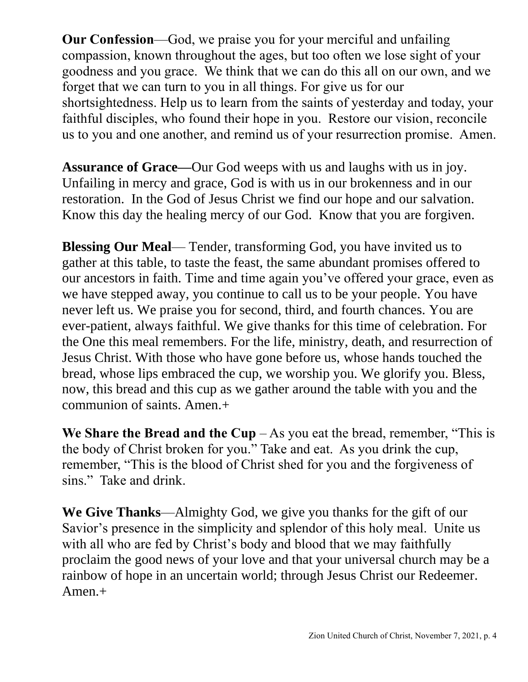**Our Confession**—God, we praise you for your merciful and unfailing compassion, known throughout the ages, but too often we lose sight of your goodness and you grace. We think that we can do this all on our own, and we forget that we can turn to you in all things. For give us for our shortsightedness. Help us to learn from the saints of yesterday and today, your faithful disciples, who found their hope in you. Restore our vision, reconcile us to you and one another, and remind us of your resurrection promise. Amen.

**Assurance of Grace—**Our God weeps with us and laughs with us in joy. Unfailing in mercy and grace, God is with us in our brokenness and in our restoration. In the God of Jesus Christ we find our hope and our salvation. Know this day the healing mercy of our God. Know that you are forgiven.

**Blessing Our Meal—** Tender, transforming God, you have invited us to gather at this table, to taste the feast, the same abundant promises offered to our ancestors in faith. Time and time again you've offered your grace, even as we have stepped away, you continue to call us to be your people. You have never left us. We praise you for second, third, and fourth chances. You are ever-patient, always faithful. We give thanks for this time of celebration. For the One this meal remembers. For the life, ministry, death, and resurrection of Jesus Christ. With those who have gone before us, whose hands touched the bread, whose lips embraced the cup, we worship you. We glorify you. Bless, now, this bread and this cup as we gather around the table with you and the communion of saints. Amen.+

**We Share the Bread and the Cup**  $-$  As you eat the bread, remember, "This is the body of Christ broken for you." Take and eat. As you drink the cup, remember, "This is the blood of Christ shed for you and the forgiveness of sins." Take and drink.

**We Give Thanks**—Almighty God, we give you thanks for the gift of our Savior's presence in the simplicity and splendor of this holy meal. Unite us with all who are fed by Christ's body and blood that we may faithfully proclaim the good news of your love and that your universal church may be a rainbow of hope in an uncertain world; through Jesus Christ our Redeemer. Amen.+